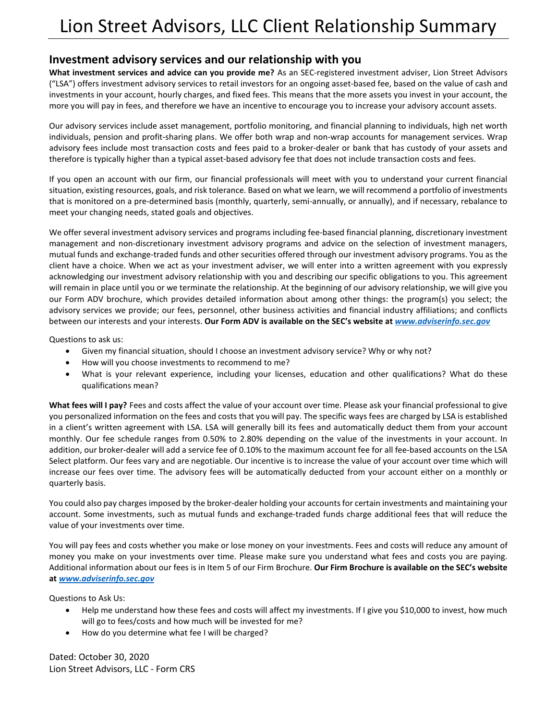## **Investment advisory services and our relationship with you**

**What investment services and advice can you provide me?** As an SEC-registered investment adviser, Lion Street Advisors ("LSA") offers investment advisory services to retail investors for an ongoing asset-based fee, based on the value of cash and investments in your account, hourly charges, and fixed fees. This means that the more assets you invest in your account, the more you will pay in fees, and therefore we have an incentive to encourage you to increase your advisory account assets.

Our advisory services include asset management, portfolio monitoring, and financial planning to individuals, high net worth individuals, pension and profit-sharing plans. We offer both wrap and non-wrap accounts for management services. Wrap advisory fees include most transaction costs and fees paid to a broker-dealer or bank that has custody of your assets and therefore is typically higher than a typical asset-based advisory fee that does not include transaction costs and fees.

If you open an account with our firm, our financial professionals will meet with you to understand your current financial situation, existing resources, goals, and risk tolerance. Based on what we learn, we will recommend a portfolio of investments that is monitored on a pre-determined basis (monthly, quarterly, semi-annually, or annually), and if necessary, rebalance to meet your changing needs, stated goals and objectives.

We offer several investment advisory services and programs including fee-based financial planning, discretionary investment management and non-discretionary investment advisory programs and advice on the selection of investment managers, mutual funds and exchange-traded funds and other securities offered through our investment advisory programs. You as the client have a choice. When we act as your investment adviser, we will enter into a written agreement with you expressly acknowledging our investment advisory relationship with you and describing our specific obligations to you. This agreement will remain in place until you or we terminate the relationship. At the beginning of our advisory relationship, we will give you our Form ADV brochure, which provides detailed information about among other things: the program(s) you select; the advisory services we provide; our fees, personnel, other business activities and financial industry affiliations; and conflicts between our interests and your interests. **Our Form ADV is available on the SEC's website at** *[www.adviserinfo.sec.gov](http://www.adviserinfo.sec.gov/)*

Questions to ask us:

- Given my financial situation, should I choose an investment advisory service? Why or why not?
- How will you choose investments to recommend to me?
- What is your relevant experience, including your licenses, education and other qualifications? What do these qualifications mean?

**What fees will I pay?** Fees and costs affect the value of your account over time. Please ask your financial professional to give you personalized information on the fees and costs that you will pay. The specific ways fees are charged by LSA is established in a client's written agreement with LSA. LSA will generally bill its fees and automatically deduct them from your account monthly. Our fee schedule ranges from 0.50% to 2.80% depending on the value of the investments in your account. In addition, our broker-dealer will add a service fee of 0.10% to the maximum account fee for all fee-based accounts on the LSA Select platform. Our fees vary and are negotiable. Our incentive is to increase the value of your account over time which will increase our fees over time. The advisory fees will be automatically deducted from your account either on a monthly or quarterly basis.

You could also pay charges imposed by the broker-dealer holding your accounts for certain investments and maintaining your account. Some investments, such as mutual funds and exchange-traded funds charge additional fees that will reduce the value of your investments over time.

You will pay fees and costs whether you make or lose money on your investments. Fees and costs will reduce any amount of money you make on your investments over time. Please make sure you understand what fees and costs you are paying. Additional information about our fees is in Item 5 of our Firm Brochure. **Our Firm Brochure is available on the SEC's website at** *[www.adviserinfo.sec.gov](http://www.adviserinfo.sec.gov/)*

Questions to Ask Us:

- Help me understand how these fees and costs will affect my investments. If I give you \$10,000 to invest, how much will go to fees/costs and how much will be invested for me?
- How do you determine what fee I will be charged?

Dated: October 30, 2020 Lion Street Advisors, LLC - Form CRS